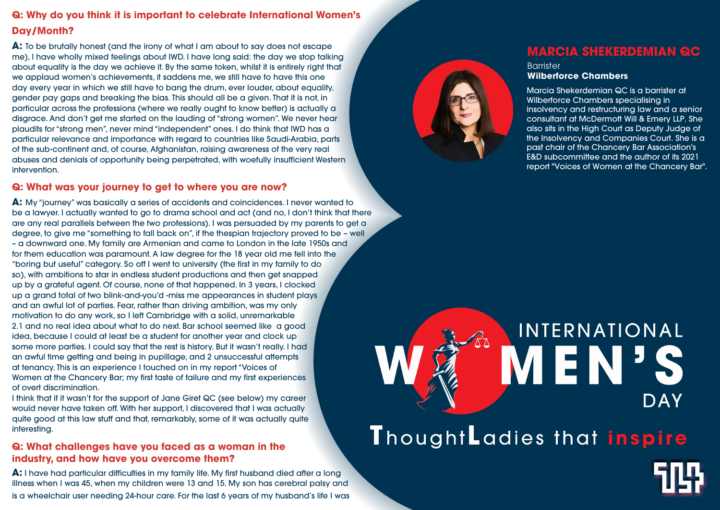## **Q: Why do you think it is important to celebrate International Women's Day/Month?**

**A:** To be brutally honest (and the irony of what I am about to say does not escape me), I have wholly mixed feelings about IWD. I have long said: the day we stop talking about equality is the day we achieve it. By the same token, whilst it is entirely right that we applaud women's achievements, it saddens me, we still have to have this one day every year in which we still have to bang the drum, ever louder, about equality, gender pay gaps and breaking the bias. This should all be a given. That it is not, in particular across the professions (where we really ought to know better) is actually a disgrace. And don't get me started on the lauding of "strong women". We never hear plaudits for "strong men", never mind "independent" ones. I do think that IWD has a particular relevance and importance with regard to countries like Saudi-Arabia, parts of the sub-continent and, of course, Afghanistan, raising awareness of the very real abuses and denials of opportunity being perpetrated, with woefully insufficient Western intervention.

### **Q: What was your journey to get to where you are now?**

**A:** I have had particular difficulties in my family life. My first husband died after a long illness when I was 45, when my children were 13 and 15. My son has cerebral palsy and is a wheelchair user needing 24-hour care. For the last 6 years of my husband's life I was





# INTERNATIONAL **MEN' DAY** ThoughtLadies that inspire

**Barrister Wilberforce Chambers**

**A:** My "journey" was basically a series of accidents and coincidences. I never wanted to be a lawyer. I actually wanted to go to drama school and act (and no, I don't think that there are any real parallels between the two professions). I was persuaded by my parents to get a degree, to give me "something to fall back on", if the thespian trajectory proved to be – well – a downward one. My family are Armenian and came to London in the late 1950s and for them education was paramount. A law degree for the 18 year old me fell into the "boring but useful" category. So off I went to university (the first in my family to do so), with ambitions to star in endless student productions and then get snapped up by a grateful agent. Of course, none of that happened. In 3 years, I clocked up a grand total of two blink-and-you'd -miss me appearances in student plays and an awful lot of parties. Fear, rather than driving ambition, was my only motivation to do any work, so I left Cambridge with a solid, unremarkable 2.1 and no real idea about what to do next. Bar school seemed like a good idea, because I could at least be a student for another year and clock up some more parties. I could say that the rest is history. But it wasn't really. I had an awful time getting and being in pupillage, and 2 unsuccessful attempts at tenancy. This is an experience I touched on in my report "Voices of Women at the Chancery Bar; my first taste of failure and my first experiences of overt discrimination.

I think that if it wasn't for the support of Jane Giret QC (see below) my career would never have taken off. With her support, I discovered that I was actually quite good at this law stuff and that, remarkably, some of it was actually quite interesting.

## **Q: What challenges have you faced as a woman in the industry, and how have you overcome them?**

## **MARCIA SHEKERDEMIAN QC**

Marcia Shekerdemian QC is a barrister at Wilberforce Chambers specialising in insolvency and restructuring law and a senior consultant at McDermott Will & Emery LLP. She also sits in the High Court as Deputy Judge of the Insolvency and Companies Court. She is a past chair of the Chancery Bar Association's E&D subcommittee and the author of its 2021 report "Voices of Women at the Chancery Bar".